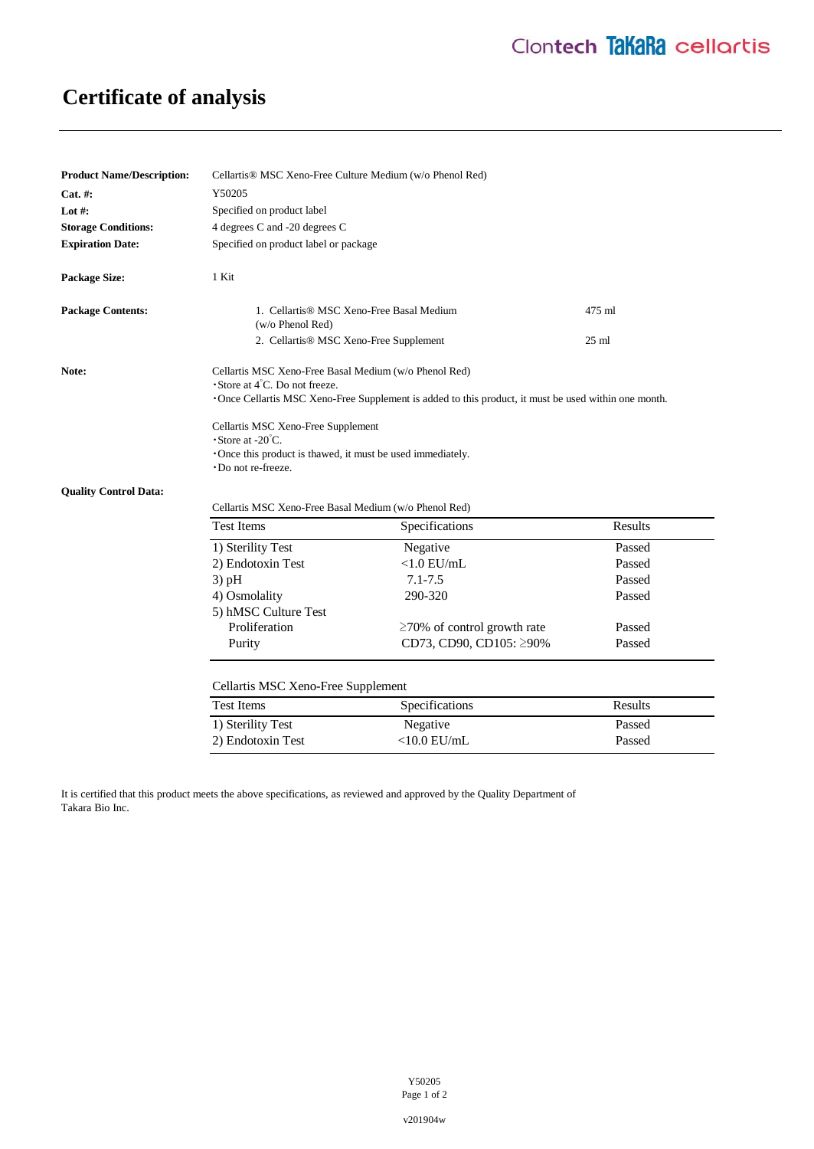# **Certificate of analysis**

| <b>Product Name/Description:</b> | Cellartis® MSC Xeno-Free Culture Medium (w/o Phenol Red)                                                                                                                                                                                                                                                                                                                         |                                   |                 |
|----------------------------------|----------------------------------------------------------------------------------------------------------------------------------------------------------------------------------------------------------------------------------------------------------------------------------------------------------------------------------------------------------------------------------|-----------------------------------|-----------------|
| Cat. #:                          | Y50205                                                                                                                                                                                                                                                                                                                                                                           |                                   |                 |
| Lot $#$ :                        | Specified on product label                                                                                                                                                                                                                                                                                                                                                       |                                   |                 |
| <b>Storage Conditions:</b>       | 4 degrees C and -20 degrees C                                                                                                                                                                                                                                                                                                                                                    |                                   |                 |
| <b>Expiration Date:</b>          | Specified on product label or package                                                                                                                                                                                                                                                                                                                                            |                                   |                 |
| <b>Package Size:</b>             | 1 Kit                                                                                                                                                                                                                                                                                                                                                                            |                                   |                 |
| <b>Package Contents:</b>         | 1. Cellartis® MSC Xeno-Free Basal Medium<br>(w/o Phenol Red)                                                                                                                                                                                                                                                                                                                     |                                   | 475 ml          |
|                                  | 2. Cellartis <sup>®</sup> MSC Xeno-Free Supplement                                                                                                                                                                                                                                                                                                                               |                                   | $25 \text{ ml}$ |
| Note:                            | Cellartis MSC Xeno-Free Basal Medium (w/o Phenol Red)<br>$\cdot$ Store at 4 <sup>°</sup> C. Do not freeze.<br>•Once Cellartis MSC Xeno-Free Supplement is added to this product, it must be used within one month.<br>Cellartis MSC Xeno-Free Supplement<br>$\cdot$ Store at -20 $\degree$ C.<br>•Once this product is thawed, it must be used immediately.<br>Do not re-freeze. |                                   |                 |
| <b>Quality Control Data:</b>     | Cellartis MSC Xeno-Free Basal Medium (w/o Phenol Red)                                                                                                                                                                                                                                                                                                                            |                                   |                 |
|                                  | <b>Test Items</b>                                                                                                                                                                                                                                                                                                                                                                | Specifications                    | Results         |
|                                  | 1) Sterility Test                                                                                                                                                                                                                                                                                                                                                                | Negative                          | Passed          |
|                                  | 2) Endotoxin Test                                                                                                                                                                                                                                                                                                                                                                | $<1.0$ EU/mL                      | Passed          |
|                                  | $3)$ pH                                                                                                                                                                                                                                                                                                                                                                          | $7.1 - 7.5$                       | Passed          |
|                                  | 4) Osmolality                                                                                                                                                                                                                                                                                                                                                                    | 290-320                           | Passed          |
|                                  | 5) hMSC Culture Test                                                                                                                                                                                                                                                                                                                                                             |                                   |                 |
|                                  | Proliferation                                                                                                                                                                                                                                                                                                                                                                    | $\geq$ 70% of control growth rate | Passed          |
|                                  | Purity                                                                                                                                                                                                                                                                                                                                                                           | CD73, CD90, CD105: ≥90%           | Passed          |
|                                  | Cellartis MSC Xeno-Free Supplement                                                                                                                                                                                                                                                                                                                                               |                                   |                 |
|                                  | <b>Test Items</b>                                                                                                                                                                                                                                                                                                                                                                | Specifications                    | Results         |
|                                  | 1) Sterility Test                                                                                                                                                                                                                                                                                                                                                                | Negative                          | Passed          |
|                                  | 2) Endotoxin Test                                                                                                                                                                                                                                                                                                                                                                | $<$ 10.0 EU/mL                    | Passed          |

It is certified that this product meets the above specifications, as reviewed and approved by the Quality Department of Takara Bio Inc.

v201904w